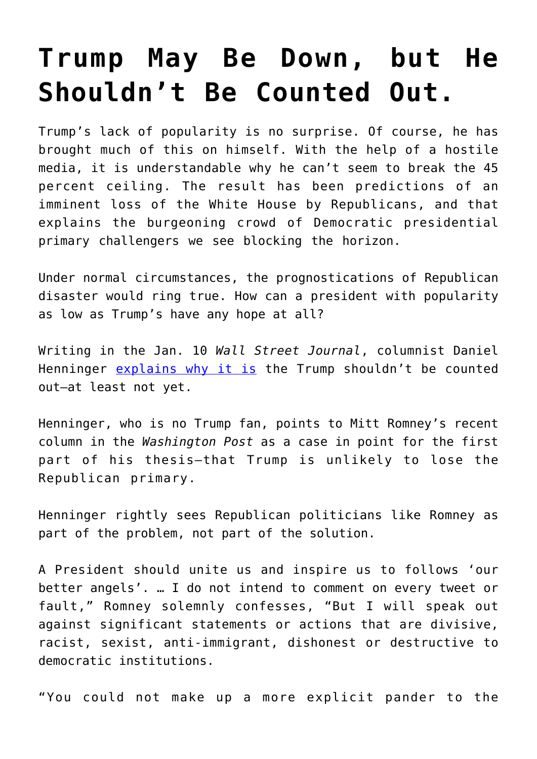## **[Trump May Be Down, but He](https://intellectualtakeout.org/2019/01/trump-may-be-down-but-he-shouldnt-be-counted-out/) [Shouldn't Be Counted Out.](https://intellectualtakeout.org/2019/01/trump-may-be-down-but-he-shouldnt-be-counted-out/)**

Trump's lack of popularity is no surprise. Of course, he has brought much of this on himself. With the help of a hostile media, it is understandable why he can't seem to break the 45 percent ceiling. The result has been predictions of an imminent loss of the White House by Republicans, and that explains the burgeoning crowd of Democratic presidential primary challengers we see blocking the horizon.

Under normal circumstances, the prognostications of Republican disaster would ring true. How can a president with popularity as low as Trump's have any hope at all?

Writing in the Jan. 10 *Wall Street Journal*, columnist Daniel Henninger [explains why it is](https://www.wsj.com/articles/the-rights-resistance-11547078513) the Trump shouldn't be counted out–at least not yet.

Henninger, who is no Trump fan, points to Mitt Romney's recent column in the *Washington Post* as a case in point for the first part of his thesis–that Trump is unlikely to lose the Republican primary.

Henninger rightly sees Republican politicians like Romney as part of the problem, not part of the solution.

A President should unite us and inspire us to follows 'our better angels'. … I do not intend to comment on every tweet or fault," Romney solemnly confesses, "But I will speak out against significant statements or actions that are divisive, racist, sexist, anti-immigrant, dishonest or destructive to democratic institutions.

"You could not make up a more explicit pander to the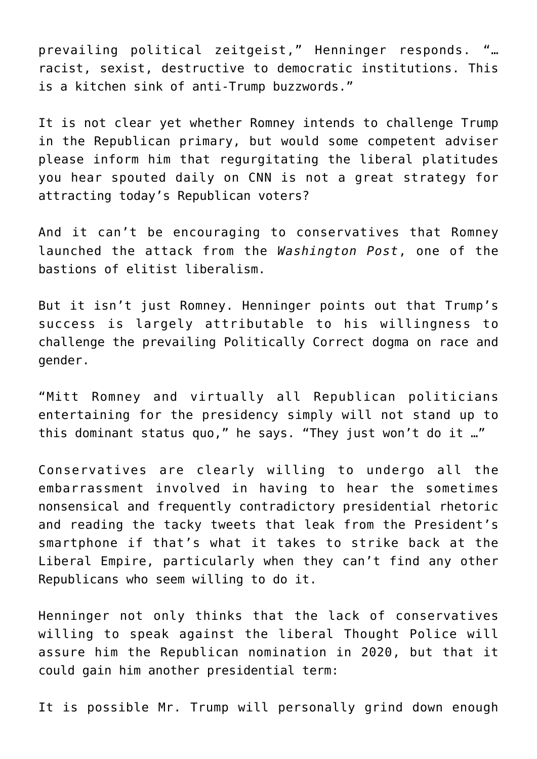prevailing political zeitgeist," Henninger responds. "… racist, sexist, destructive to democratic institutions. This is a kitchen sink of anti-Trump buzzwords."

It is not clear yet whether Romney intends to challenge Trump in the Republican primary, but would some competent adviser please inform him that regurgitating the liberal platitudes you hear spouted daily on CNN is not a great strategy for attracting today's Republican voters?

And it can't be encouraging to conservatives that Romney launched the attack from the *Washington Post*, one of the bastions of elitist liberalism.

But it isn't just Romney. Henninger points out that Trump's success is largely attributable to his willingness to challenge the prevailing Politically Correct dogma on race and gender.

"Mitt Romney and virtually all Republican politicians entertaining for the presidency simply will not stand up to this dominant status quo," he says. "They just won't do it …"

Conservatives are clearly willing to undergo all the embarrassment involved in having to hear the sometimes nonsensical and frequently contradictory presidential rhetoric and reading the tacky tweets that leak from the President's smartphone if that's what it takes to strike back at the Liberal Empire, particularly when they can't find any other Republicans who seem willing to do it.

Henninger not only thinks that the lack of conservatives willing to speak against the liberal Thought Police will assure him the Republican nomination in 2020, but that it could gain him another presidential term:

It is possible Mr. Trump will personally grind down enough